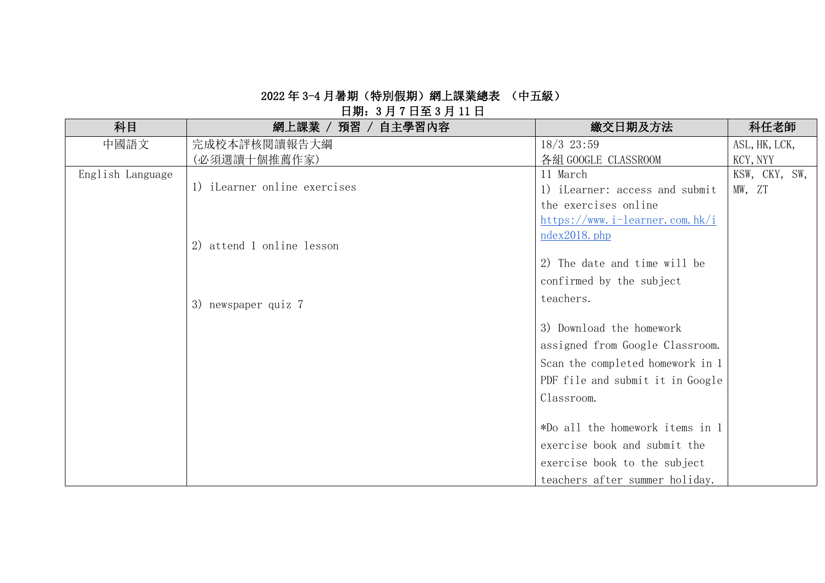## 日期:3 月 7 日至 3 月 11 日

| 科目               | 網上課業 / 預習 / 自主學習內容           | 繳交日期及方法                                          | 科任老師          |
|------------------|------------------------------|--------------------------------------------------|---------------|
| 中國語文             | 完成校本評核閱讀報告大綱                 | $18/3$ 23:59                                     | ASL, HK, LCK, |
|                  | (必須選讀十個推薦作家)                 | 各組 GOOGLE CLASSROOM                              | KCY, NYY      |
| English Language |                              | 11 March                                         | KSW, CKY, SW, |
|                  | 1) iLearner online exercises | 1) iLearner: access and submit                   | MW, ZT        |
|                  |                              | the exercises online                             |               |
|                  |                              | $\frac{\text{https://www.i-learner.com.hk/i}}{}$ |               |
|                  |                              | $ndex2018.$ <sub>php</sub>                       |               |
|                  | 2) attend 1 online lesson    |                                                  |               |
|                  |                              | 2) The date and time will be                     |               |
|                  |                              | confirmed by the subject                         |               |
|                  | 3) newspaper quiz 7          | teachers.                                        |               |
|                  |                              |                                                  |               |
|                  |                              | 3) Download the homework                         |               |
|                  |                              | assigned from Google Classroom.                  |               |
|                  |                              | Scan the completed homework in 1                 |               |
|                  |                              | PDF file and submit it in Google                 |               |
|                  |                              | Classroom.                                       |               |
|                  |                              |                                                  |               |
|                  |                              | *Do all the homework items in 1                  |               |
|                  |                              | exercise book and submit the                     |               |
|                  |                              | exercise book to the subject                     |               |
|                  |                              | teachers after summer holiday.                   |               |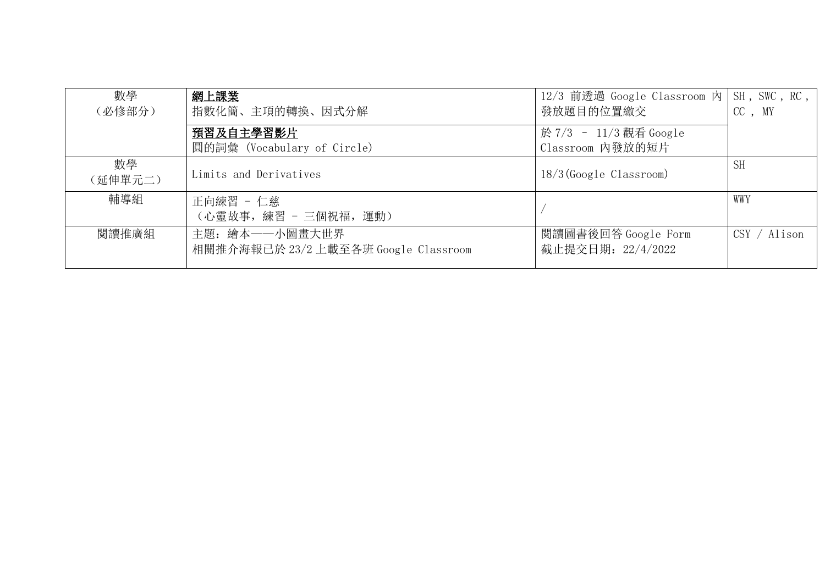| 數學            | 網上課業                                 | 12/3 前透過 Google Classroom 内 SH, SWC, RC, |              |
|---------------|--------------------------------------|------------------------------------------|--------------|
| (必修部分)        | 指數化簡、主項的轉換、因式分解                      | 發放題目的位置繳交                                | CC, MY       |
|               | 預習及自主學習影片                            | 於 7/3 - 11/3 觀看 Google                   |              |
|               | 圓的詞彙 (Vocabulary of Circle)          | Classroom 内發放的短片                         |              |
| 數學<br>(延伸單元二) | Limits and Derivatives               | $18/3$ (Google Classroom)                | <b>SH</b>    |
| 輔導組           | 正向練習 - 仁慈                            |                                          | WWY          |
|               | (心靈故事, 練習 - 三個祝福, 運動)                |                                          |              |
| 閱讀推廣組         | 主題: 繪本——小圖畫大世界                       | 閱讀圖書後回答 Google Form                      | CSY / Alison |
|               | 相關推介海報已於 23/2 上載至各班 Google Classroom | 截止提交日期: 22/4/2022                        |              |
|               |                                      |                                          |              |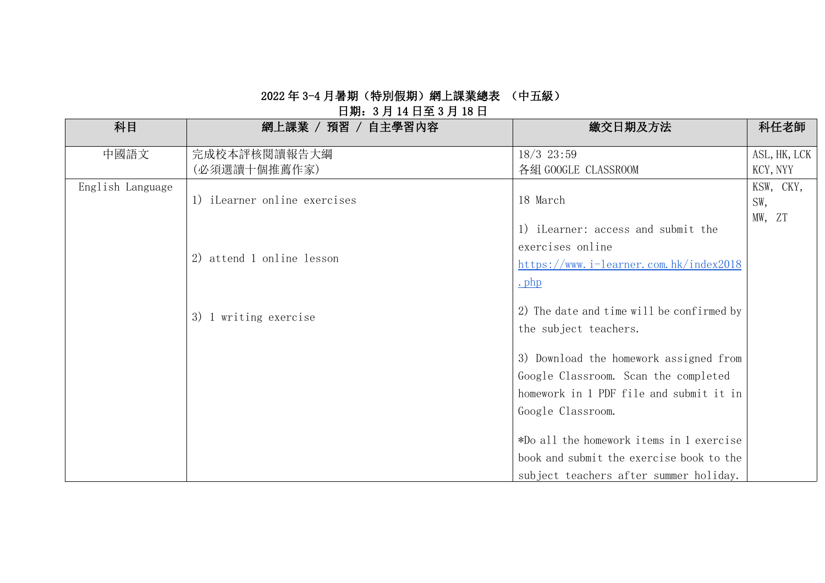# 日期:3 月 14 日至 3 月 18 日

| 科目               | 網上課業 / 預習 / 自主學習內容           | 繳交日期及方法                                   | 科任老師         |
|------------------|------------------------------|-------------------------------------------|--------------|
| 中國語文             | 完成校本評核閱讀報告大綱                 | $18/3$ 23:59                              | ASL, HK, LCK |
|                  | (必須選讀十個推薦作家)                 | 各組 GOOGLE CLASSROOM                       | KCY, NYY     |
| English Language |                              |                                           | KSW, CKY,    |
|                  | 1) iLearner online exercises | 18 March                                  | SW,          |
|                  |                              | 1) iLearner: access and submit the        | MW, ZT       |
|                  |                              | exercises online                          |              |
|                  | 2) attend 1 online lesson    |                                           |              |
|                  |                              | https://www.i-learner.com.hk/index2018    |              |
|                  |                              | $\cdot$ php                               |              |
|                  |                              | 2) The date and time will be confirmed by |              |
|                  | 3) 1 writing exercise        | the subject teachers.                     |              |
|                  |                              |                                           |              |
|                  |                              | 3) Download the homework assigned from    |              |
|                  |                              | Google Classroom. Scan the completed      |              |
|                  |                              | homework in 1 PDF file and submit it in   |              |
|                  |                              | Google Classroom.                         |              |
|                  |                              |                                           |              |
|                  |                              | *Do all the homework items in 1 exercise  |              |
|                  |                              | book and submit the exercise book to the  |              |
|                  |                              | subject teachers after summer holiday.    |              |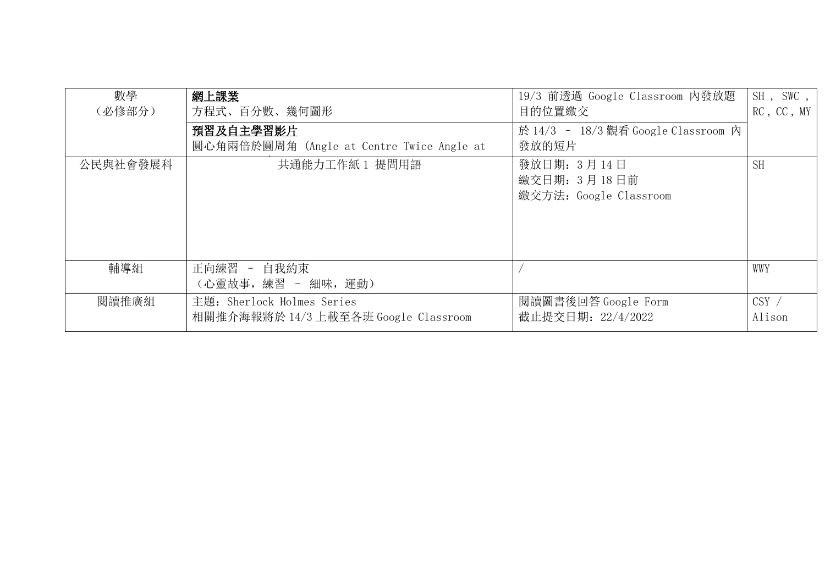| 數學<br>(必修部分) | 網上課業<br>方程式、百分數、幾何圖形<br>預習及自主學習影片                                  | 19/3 前透過 Google Classroom 内發放題<br>目的位置繳交<br>於 14/3 - 18/3 觀看 Google Classroom 內 | SH, SWC,<br>RC, CC, MY |
|--------------|--------------------------------------------------------------------|---------------------------------------------------------------------------------|------------------------|
|              | 圓心角兩倍於圓周角 (Angle at Centre Twice Angle at                          | 發放的短片                                                                           |                        |
| 公民與社會發展科     | 共通能力工作紙1 提問用語                                                      | 發放日期: 3月14日<br>繳交日期: 3月18日前<br>繳交方法: Google Classroom                           | <b>SH</b>              |
| 輔導組          | 正向練習 - 自我約束<br>(心靈故事, 練習 - 細味, 運動)                                 |                                                                                 | WWY                    |
| 閱讀推廣組        | 主題: Sherlock Holmes Series<br>相關推介海報將於 14/3 上載至各班 Google Classroom | 閲讀圖書後回答 Google Form<br>截止提交日期: 22/4/2022                                        | $CSY$ /<br>Alison      |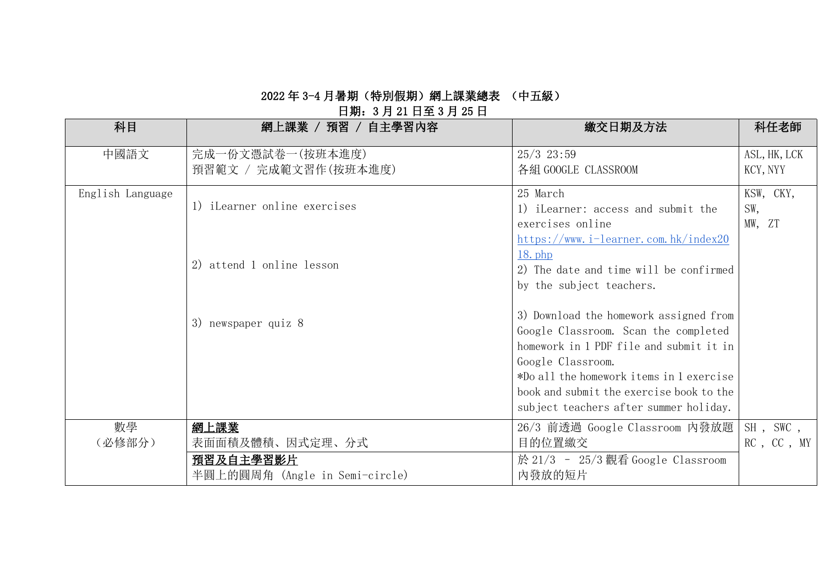## 日期:3 月 21 日至 3 月 25 日

| 科目               | 網上課業 / 預習 / 自主學習內容             | 繳交日期及方法                                  | 科任老師         |
|------------------|--------------------------------|------------------------------------------|--------------|
| 中國語文             | 完成一份文憑試卷一(按班本進度)               | $25/3$ $23:59$                           | ASL, HK, LCK |
|                  | 預習範文 / 完成範文習作(按班本進度)           | 各組 GOOGLE CLASSROOM                      | KCY, NYY     |
| English Language |                                | 25 March                                 | KSW, CKY,    |
|                  | 1) iLearner online exercises   | 1) iLearner: access and submit the       | SW,          |
|                  |                                | exercises online                         | MW, ZT       |
|                  |                                | $https://www.i-learner.com.hk/index20$   |              |
|                  | 2) attend 1 online lesson      | $18.$ php                                |              |
|                  |                                | 2) The date and time will be confirmed   |              |
|                  |                                | by the subject teachers.                 |              |
|                  |                                | 3) Download the homework assigned from   |              |
|                  | 3) newspaper quiz 8            | Google Classroom. Scan the completed     |              |
|                  |                                | homework in 1 PDF file and submit it in  |              |
|                  |                                | Google Classroom.                        |              |
|                  |                                | *Do all the homework items in 1 exercise |              |
|                  |                                | book and submit the exercise book to the |              |
|                  |                                | subject teachers after summer holiday.   |              |
| 數學               | 網上課業                           | 26/3 前透過 Google Classroom 内發放題           | SH, SWC,     |
| (必修部分)           | 表面面積及體積、因式定理、分式                | 目的位置繳交                                   | RC, CC, MY   |
|                  | 預習及自主學習影片                      | 於 21/3 - 25/3 觀看 Google Classroom        |              |
|                  | 半圓上的圓周角 (Angle in Semi-circle) | 内發放的短片                                   |              |
|                  |                                |                                          |              |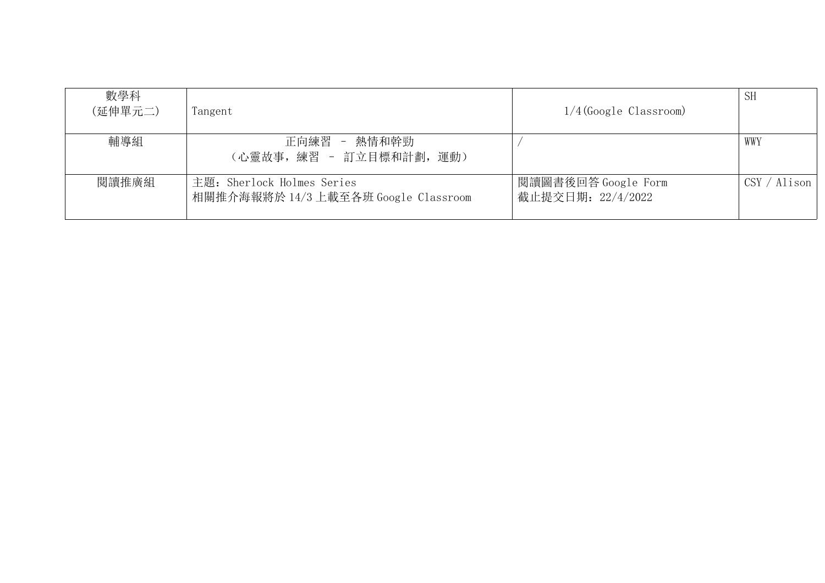| 數學科<br>(延伸單元二) | Tangent                                                            | $1/4$ (Google Classroom)                 | <b>SH</b>                    |
|----------------|--------------------------------------------------------------------|------------------------------------------|------------------------------|
| 輔導組            | 正向練習 - 熱情和幹勁<br>(心靈故事, 練習 - 訂立目標和計劃, 運動)                           |                                          | WWY                          |
| 閱讀推廣組          | 主題: Sherlock Holmes Series<br>相關推介海報將於 14/3 上載至各班 Google Classroom | 閲讀圖書後回答 Google Form<br>截止提交日期: 22/4/2022 | $\text{CSV} / \text{Alison}$ |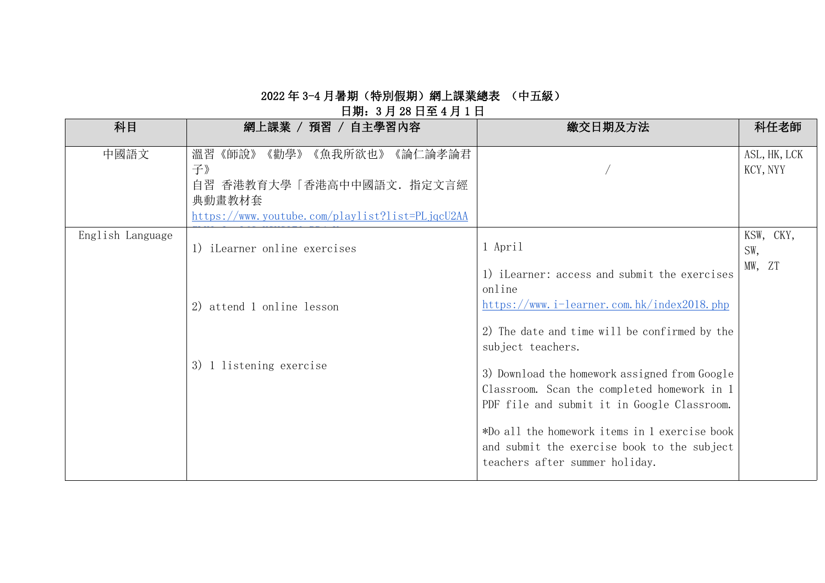## 日期:3 月 28 日至 4 月 1 日

| 科目               | 網上課業 / 預習 / 自主學習內容                              | 繳交日期及方法                                              | 科任老師          |
|------------------|-------------------------------------------------|------------------------------------------------------|---------------|
| 中國語文             | 溫習<br>《勸學》<br>《論仁論孝論君<br>《師說》<br>《魚我所欲也》        |                                                      | ASL, HK, LCK  |
|                  | 子》<br>自習 香港教育大學「香港高中中國語文. 指定文言經                 |                                                      | KCY, NYY      |
|                  | 典動畫教材套                                          |                                                      |               |
|                  | https://www.youtube.com/playlist?list=PLjqcU2AA |                                                      |               |
| English Language |                                                 | 1 April                                              | KSW, CKY,     |
|                  | 1) iLearner online exercises                    |                                                      | SW,<br>MW, ZT |
|                  |                                                 | 1) iLearner: access and submit the exercises         |               |
|                  |                                                 | online<br>https://www.i-learner.com.hk/index2018.php |               |
|                  | 2) attend 1 online lesson                       |                                                      |               |
|                  |                                                 | 2) The date and time will be confirmed by the        |               |
|                  |                                                 | subject teachers.                                    |               |
|                  | 3) 1 listening exercise                         | 3) Download the homework assigned from Google        |               |
|                  |                                                 | Classroom. Scan the completed homework in 1          |               |
|                  |                                                 | PDF file and submit it in Google Classroom.          |               |
|                  |                                                 | *Do all the homework items in 1 exercise book        |               |
|                  |                                                 | and submit the exercise book to the subject          |               |
|                  |                                                 | teachers after summer holiday.                       |               |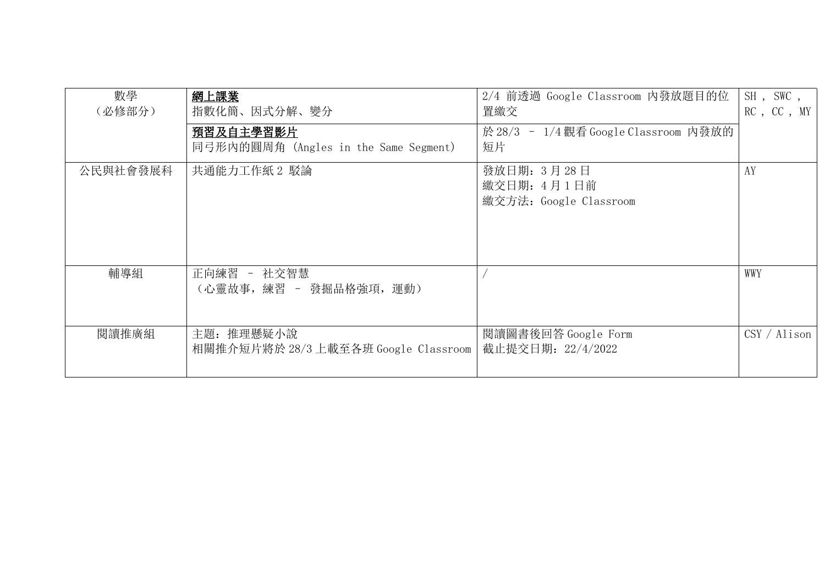| 數學<br>(必修部分) | 網上課業<br>指數化簡、因式分解、變分<br><u>預習及自主學習影片</u><br>同弓形内的圓周角 (Angles in the Same Segment) | 2/4 前透過 Google Classroom 内發放題目的位<br>置繳交<br>於 28/3 - 1/4 觀看 Google Classroom 内發放的<br>短片 | SH, SWC,<br>RC, CC, MY |
|--------------|-----------------------------------------------------------------------------------|----------------------------------------------------------------------------------------|------------------------|
| 公民與社會發展科     | 共通能力工作紙2 駁論                                                                       | 發放日期: 3月28日<br>繳交日期: 4月1日前<br>繳交方法: Google Classroom                                   | AY                     |
| 輔導組          | 正向練習 - 社交智慧<br>(心靈故事, 練習 - 發掘品格強項, 運動)                                            |                                                                                        | WWY                    |
| 閱讀推廣組        | 主題: 推理懸疑小說<br>相關推介短片將於 28/3 上載至各班 Google Classroom                                | 閱讀圖書後回答 Google Form<br>截止提交日期: 22/4/2022                                               | CSY / Alison           |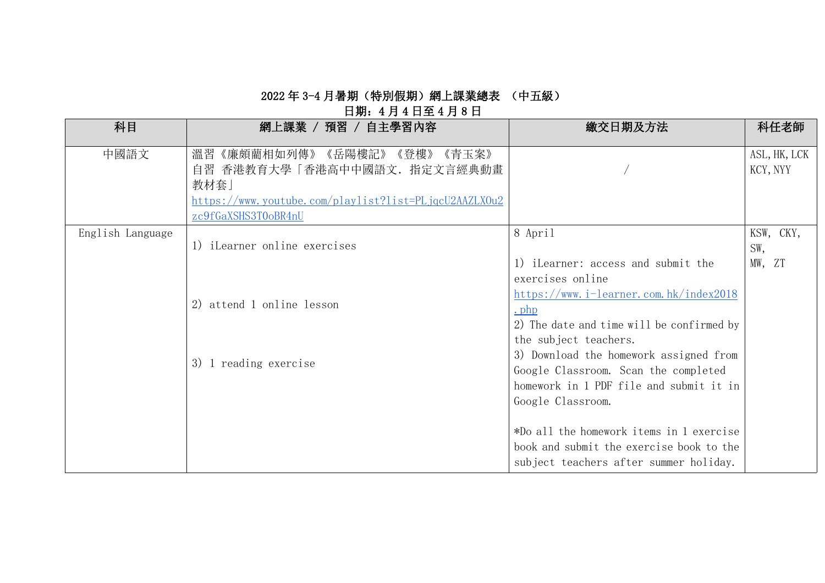## 日期:4 月 4 日至 4 月 8 日

| 科目               | 網上課業 / 預習 / 自主學習內容                                                                                                                                         | 繳交日期及方法                                                                                                                                        | 科任老師                       |
|------------------|------------------------------------------------------------------------------------------------------------------------------------------------------------|------------------------------------------------------------------------------------------------------------------------------------------------|----------------------------|
| 中國語文             | 溫習《廉頗藺相如列傳》《岳陽樓記》<br>《青玉案》<br>《登樓》<br>自習 香港教育大學「香港高中中國語文. 指定文言經典動畫<br>教材套」<br>https://www.youtube.com/playlist?list=PLjqcU2AAZLX0u2<br>zc9fGaXSHS3T0oBR4nU |                                                                                                                                                | ASL, HK, LCK<br>KCY, NYY   |
| English Language | 1) iLearner online exercises                                                                                                                               | 8 April<br>1) iLearner: access and submit the<br>exercises online                                                                              | KSW, CKY,<br>SW,<br>MW, ZT |
|                  | 2) attend 1 online lesson                                                                                                                                  | https://www.i-learner.com.hk/index2018<br>$.$ php<br>2) The date and time will be confirmed by<br>the subject teachers.                        |                            |
|                  | 1 reading exercise<br>3)                                                                                                                                   | 3) Download the homework assigned from<br>Google Classroom. Scan the completed<br>homework in 1 PDF file and submit it in<br>Google Classroom. |                            |
|                  |                                                                                                                                                            | *Do all the homework items in 1 exercise<br>book and submit the exercise book to the<br>subject teachers after summer holiday.                 |                            |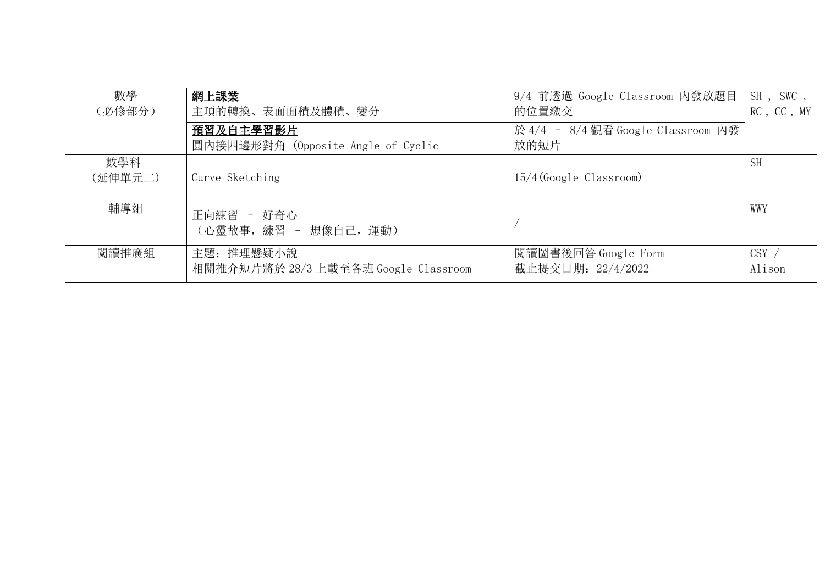| 數學<br>(必修部分)   | 網上課業<br>主項的轉換、表面面積及體積、變分                           | 9/4 前透過 Google Classroom 内發放題目<br>的位置繳交    | $SH$ , SWC,<br>RC, CC, MY |
|----------------|----------------------------------------------------|--------------------------------------------|---------------------------|
|                | 預習及自主學習影片<br>圓內接四邊形對角 (Opposite Angle of Cyclic    | 於 4/4 - 8/4 觀看 Google Classroom 內發<br>放的短片 |                           |
| 數學科<br>(延伸單元二) | Curve Sketching                                    | $15/4$ (Google Classroom)                  | <b>SH</b>                 |
| 輔導組            | 正向練習 - 好奇心<br>(心靈故事, 練習 - 想像自己, 運動)                |                                            | WWY                       |
| 閱讀推廣組          | 主題: 推理懸疑小說<br>相關推介短片將於 28/3 上載至各班 Google Classroom | 閱讀圖書後回答 Google Form<br>截止提交日期: 22/4/2022   | CSY /<br>Alison           |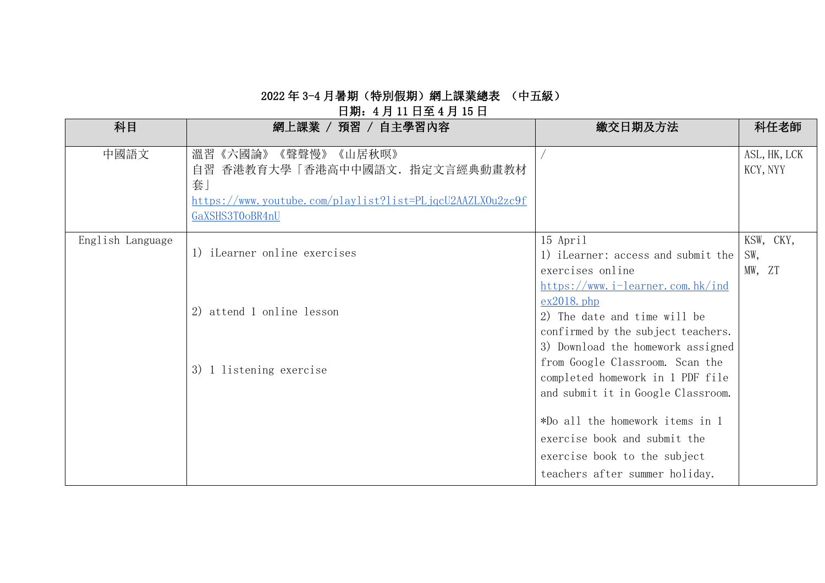## 日期:4 月 11 日至 4 月 15 日

| 科目               | 網上課業 / 預習 / 自主學習內容                                                                                                                               | 繳交日期及方法                                                                                                                  | 科任老師                       |
|------------------|--------------------------------------------------------------------------------------------------------------------------------------------------|--------------------------------------------------------------------------------------------------------------------------|----------------------------|
| 中國語文             | 《聲聲慢》《山居秋暝》<br>溫習《六國論》<br>香港教育大學「香港高中中國語文.指定文言經典動畫教材<br>自習<br>套.<br>https://www.youtube.com/playlist?list=PLjqcU2AAZLX0u2zc9f<br>GaXSHS3T0oBR4nU |                                                                                                                          | ASL, HK, LCK<br>KCY, NYY   |
| English Language | 1) iLearner online exercises                                                                                                                     | 15 April<br>1) iLearner: access and submit the<br>exercises online<br>$https://www.i-learner.com.hk/index$               | KSW, CKY,<br>SW,<br>MW, ZT |
|                  | 2) attend 1 online lesson                                                                                                                        | $ex2018.$ php<br>2) The date and time will be<br>confirmed by the subject teachers.<br>3) Download the homework assigned |                            |
|                  | 3) 1 listening exercise                                                                                                                          | from Google Classroom. Scan the<br>completed homework in 1 PDF file<br>and submit it in Google Classroom.                |                            |
|                  |                                                                                                                                                  | *Do all the homework items in 1<br>exercise book and submit the                                                          |                            |
|                  |                                                                                                                                                  | exercise book to the subject<br>teachers after summer holiday.                                                           |                            |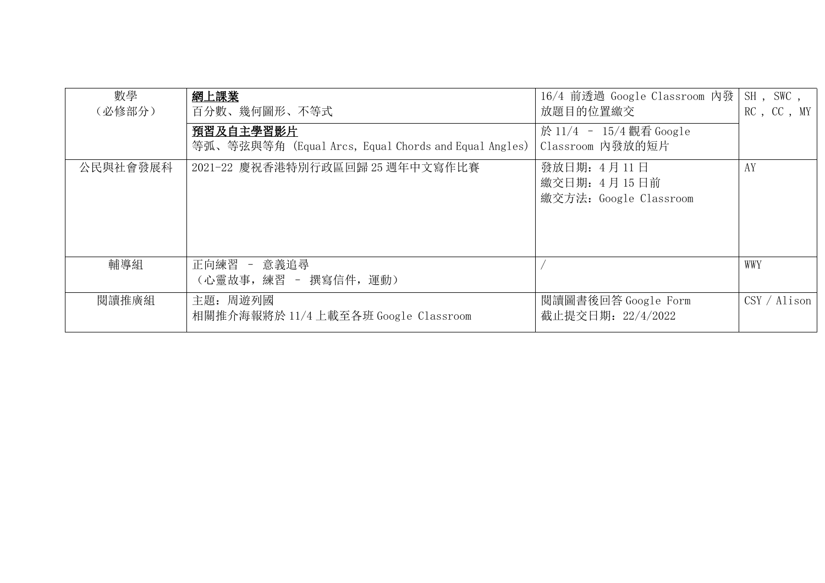| 數學<br>(必修部分) | 網上課業<br>百分數、幾何圖形、不等式                                              | 16/4 前透過 Google Classroom 内發<br>放題目的位置繳交              | SH, SWC,<br>RC, CC, MY       |
|--------------|-------------------------------------------------------------------|-------------------------------------------------------|------------------------------|
|              | 預習及自主學習影片<br>等弧、等弦與等角 (Equal Arcs, Equal Chords and Equal Angles) | 於 11/4 - 15/4 觀看 Google<br>Classroom 内發放的短片           |                              |
| 公民與社會發展科     | 2021-22 慶祝香港特別行政區回歸 25 週年中文寫作比賽                                   | 發放日期: 4月11日<br>繳交日期: 4月15日前<br>繳交方法: Google Classroom | AY                           |
| 輔導組          | 正向練習 - 意義追尋<br>(心靈故事, 練習 - 撰寫信件, 運動)                              |                                                       | WWY                          |
| 閱讀推廣組        | 主題: 周遊列國<br>相關推介海報將於 11/4 上載至各班 Google Classroom                  | 閲讀圖書後回答 Google Form<br>截止提交日期: 22/4/2022              | $\text{CSV} / \text{Alison}$ |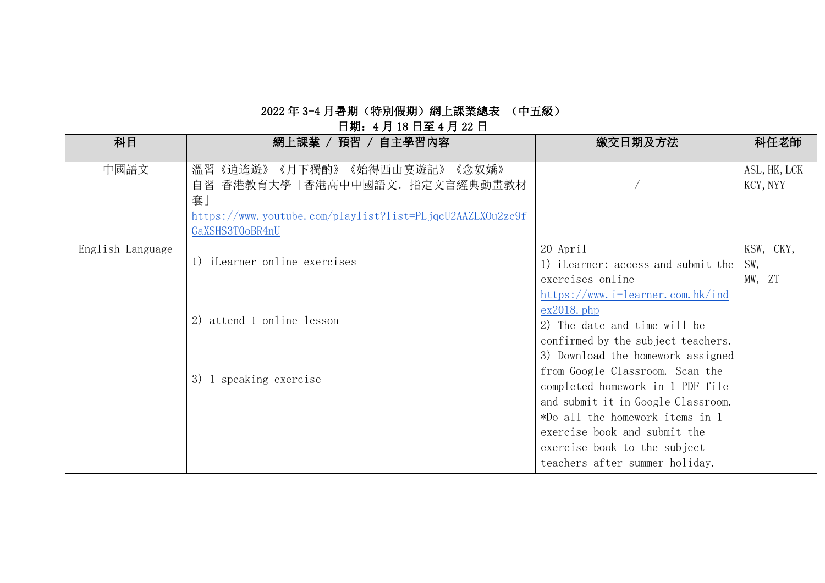#### 2022 年 3-4 月暑期(特別假期)網上課業總表 (中五級) 日期:4 月 18 日至 4 月 22 日

| 科目               | 網上課業 / 預習 / 自主學習內容                                        | 繳交日期及方法                            | 科任老師         |
|------------------|-----------------------------------------------------------|------------------------------------|--------------|
| 中國語文             | 《月下獨酌》<br>《始得西山宴遊記》<br>《念奴嬌》<br>溫習<br>《逍遙遊》               |                                    | ASL, HK, LCK |
|                  | 香港教育大學「香港高中中國語文. 指定文言經典動畫教材<br>自習                         |                                    | KCY, NYY     |
|                  | 套」                                                        |                                    |              |
|                  | https://www.youtube.com/playlist?list=PLjqcU2AAZLX0u2zc9f |                                    |              |
|                  | GaXSHS3T0oBR4nU                                           |                                    |              |
| English Language |                                                           | 20 April                           | KSW, CKY,    |
|                  | 1) iLearner online exercises                              | 1) iLearner: access and submit the | SW,          |
|                  |                                                           | exercises online                   | MW, ZT       |
|                  |                                                           | https://www.i-learner.com.hk/ind   |              |
|                  |                                                           | $ex2018.$ php                      |              |
|                  | 2) attend 1 online lesson                                 | 2) The date and time will be       |              |
|                  |                                                           | confirmed by the subject teachers. |              |
|                  |                                                           | 3) Download the homework assigned  |              |
|                  | 3) 1 speaking exercise                                    | from Google Classroom. Scan the    |              |
|                  |                                                           | completed homework in 1 PDF file   |              |
|                  |                                                           | and submit it in Google Classroom. |              |
|                  |                                                           | *Do all the homework items in 1    |              |
|                  |                                                           | exercise book and submit the       |              |
|                  |                                                           | exercise book to the subject       |              |
|                  |                                                           | teachers after summer holiday.     |              |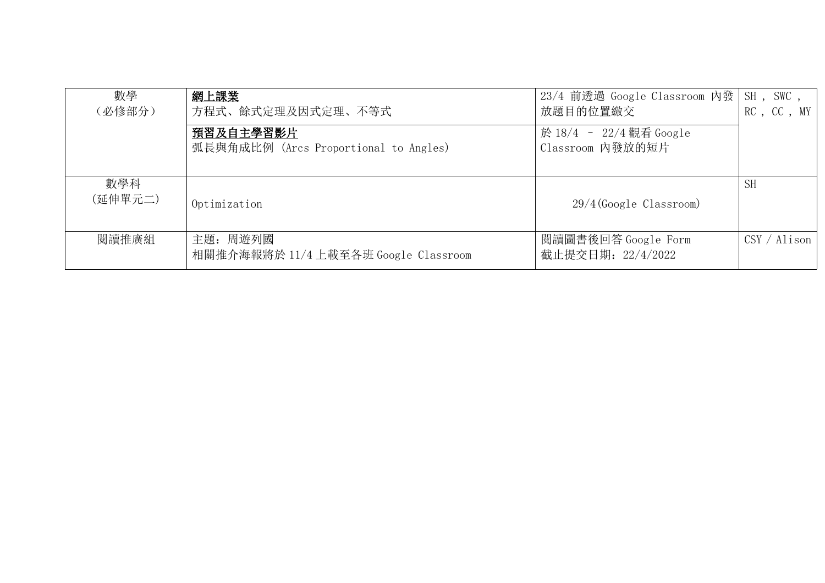| 數學<br>(必修部分)   | 網上課業<br>方程式、餘式定理及因式定理、不等式                          | 23/4 前透過 Google Classroom 内發  <br>放題目的位置繳交  | SH, SWC,<br>RC, CC, MY |
|----------------|----------------------------------------------------|---------------------------------------------|------------------------|
|                | 預習及自主學習影片<br>弧長與角成比例 (Arcs Proportional to Angles) | 於 18/4 - 22/4 觀看 Google<br>Classroom 内發放的短片 |                        |
|                |                                                    |                                             |                        |
| 數學科<br>(延伸單元二) | Optimization                                       | $29/4$ (Google Classroom)                   | <b>SH</b>              |
| 閱讀推廣組          | 主題: 周遊列國<br>相關推介海報將於 11/4 上載至各班 Google Classroom   | 閲讀圖書後回答 Google Form<br>截止提交日期: 22/4/2022    | CSY / Alison           |